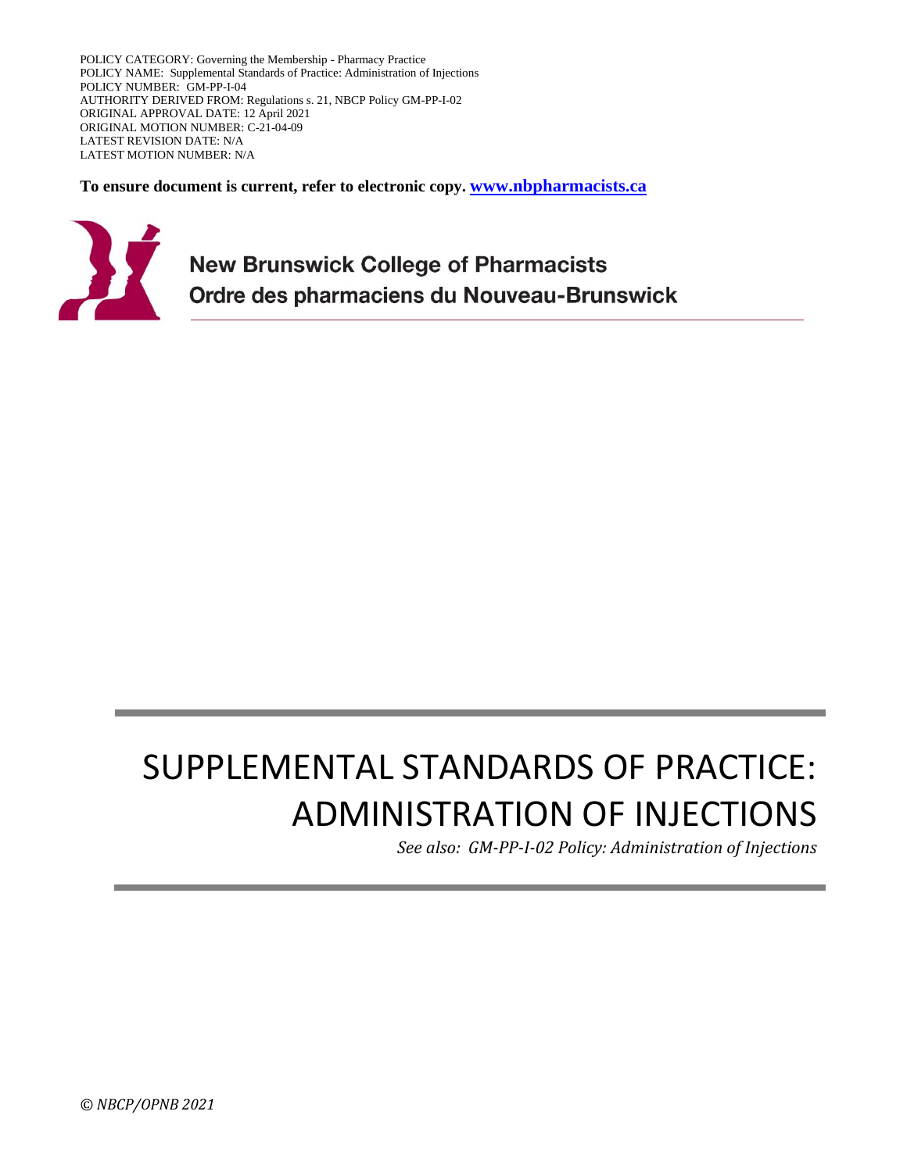POLICY CATEGORY: Governing the Membership - Pharmacy Practice POLICY NAME: Supplemental Standards of Practice: Administration of Injections POLICY NUMBER: GM-PP-I-04 AUTHORITY DERIVED FROM: Regulations s. 21, NBCP Policy GM-PP-I-02 ORIGINAL APPROVAL DATE: 12 April 2021 ORIGINAL MOTION NUMBER: C-21-04-09 LATEST REVISION DATE: N/A LATEST MOTION NUMBER: N/A

**To ensure document is current, refer to electronic copy. [www.nbpharmacists.ca](http://www.nbpharmacists.ca/)**



**New Brunswick College of Pharmacists** Ordre des pharmaciens du Nouveau-Brunswick

# SUPPLEMENTAL STANDARDS OF PRACTICE: ADMINISTRATION OF INJECTIONS

*See also: GM-PP-I-02 Policy: Administration of Injections*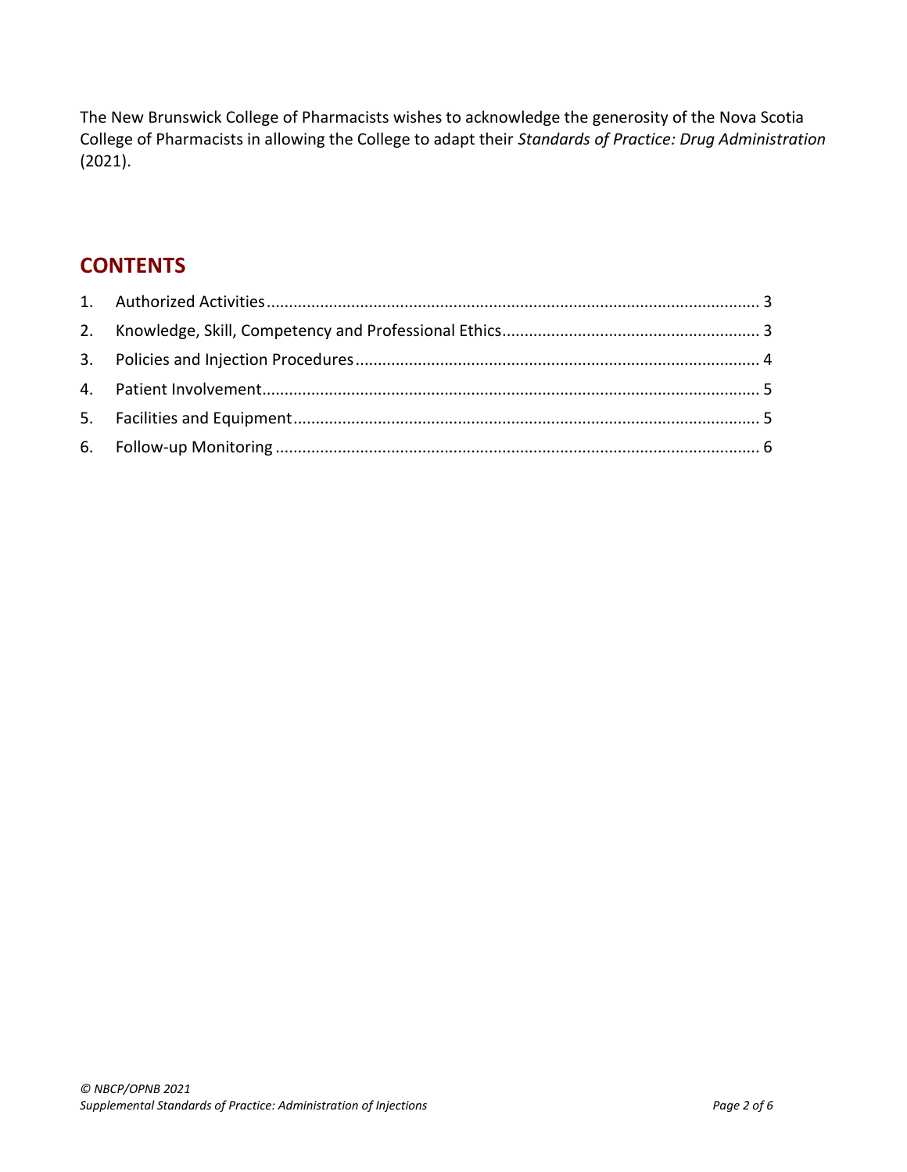The New Brunswick College of Pharmacists wishes to acknowledge the generosity of the Nova Scotia College of Pharmacists in allowing the College to adapt their *Standards of Practice: Drug Administration* (2021).

# **CONTENTS**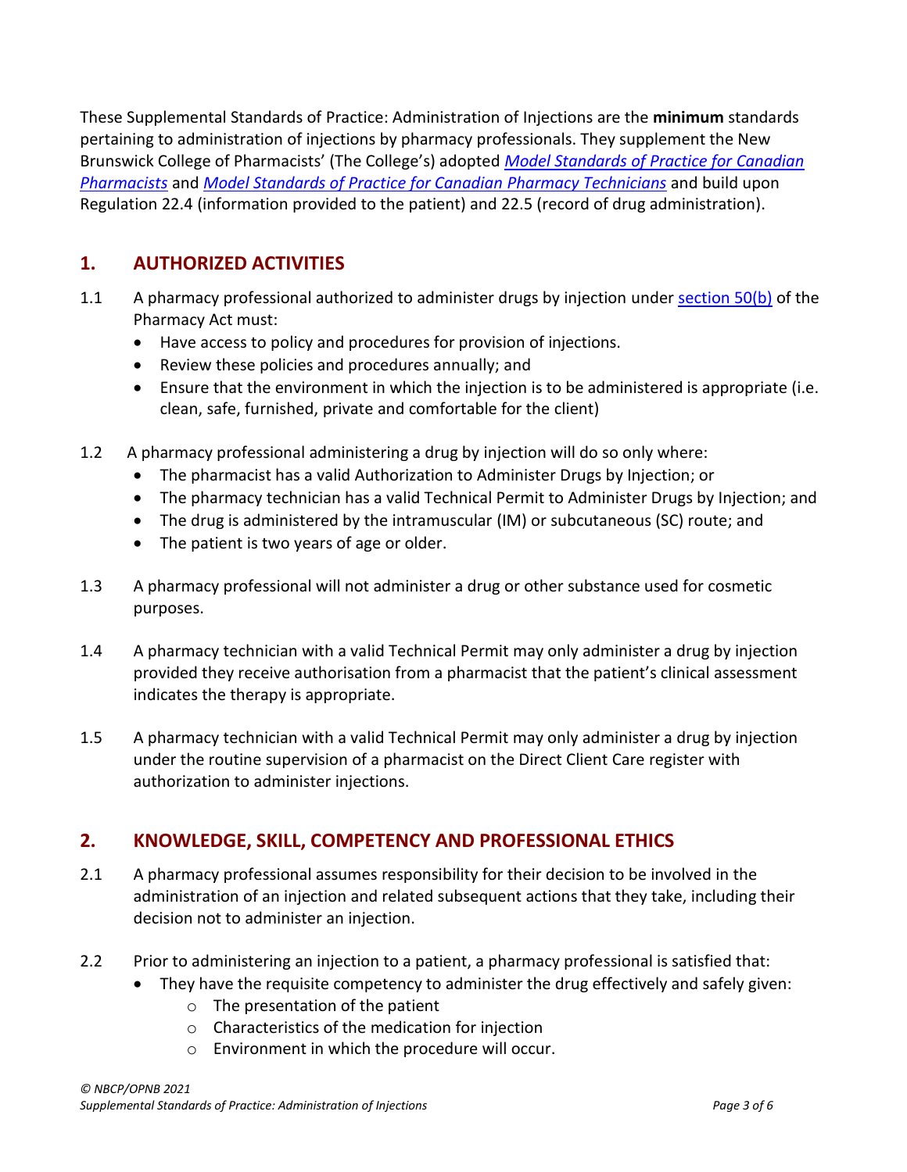These Supplemental Standards of Practice: Administration of Injections are the **minimum** standards pertaining to administration of injections by pharmacy professionals. They supplement the New Brunswick College of Pharmacists' (The College's) adopted *[Model Standards of Practice for Canadian](https://napra.ca/sites/default/files/2017-09/Model_Standards_of_Prac_for_Cdn_Pharm_March09_layout2017_Final.pdf)  [Pharmacists](https://napra.ca/sites/default/files/2017-09/Model_Standards_of_Prac_for_Cdn_Pharm_March09_layout2017_Final.pdf)* and *[Model Standards of Practice for Canadian Pharmacy Technicians](https://napra.ca/sites/default/files/documents/Model_Standards_of_Practice_for_Canadian_Pharmacy_Technicians_FINAL-June2018.pdf)* and build upon Regulation [22.4](https://nbcp.in1touch.org/document/1733/2015%2007%2023%20REGS%20bilingual.pdf#page=129) (information provided to the patient) and [22.5](https://nbcp.in1touch.org/document/1733/2015%2007%2023%20REGS%20bilingual.pdf#page=130) (record of drug administration).

# <span id="page-2-0"></span>**1. AUTHORIZED ACTIVITIES**

- 1.1 A pharmacy professional authorized to administer drugs by injection under [section 50\(b\)](https://nbcp.in1touch.org/document/1734/2014%20Pharmacy%20Act.pdf#page=31) of the Pharmacy Act must:
	- Have access to policy and procedures for provision of injections.
	- Review these policies and procedures annually; and
	- Ensure that the environment in which the injection is to be administered is appropriate (i.e. clean, safe, furnished, private and comfortable for the client)
- 1.2 A pharmacy professional administering a drug by injection will do so only where:
	- The pharmacist has a valid Authorization to Administer Drugs by Injection; or
	- The pharmacy technician has a valid Technical Permit to Administer Drugs by Injection; and
	- The drug is administered by the intramuscular (IM) or subcutaneous (SC) route; and
	- The patient is two years of age or older.
- 1.3 A pharmacy professional will not administer a drug or other substance used for cosmetic purposes.
- 1.4 A pharmacy technician with a valid Technical Permit may only administer a drug by injection provided they receive authorisation from a pharmacist that the patient's clinical assessment indicates the therapy is appropriate.
- 1.5 A pharmacy technician with a valid Technical Permit may only administer a drug by injection under the routine supervision of a pharmacist on the Direct Client Care register with authorization to administer injections.

# <span id="page-2-1"></span>**2. KNOWLEDGE, SKILL, COMPETENCY AND PROFESSIONAL ETHICS**

- 2.1 A pharmacy professional assumes responsibility for their decision to be involved in the administration of an injection and related subsequent actions that they take, including their decision not to administer an injection.
- 2.2 Prior to administering an injection to a patient, a pharmacy professional is satisfied that:
	- They have the requisite competency to administer the drug effectively and safely given:
		- o The presentation of the patient
		- o Characteristics of the medication for injection
		- o Environment in which the procedure will occur.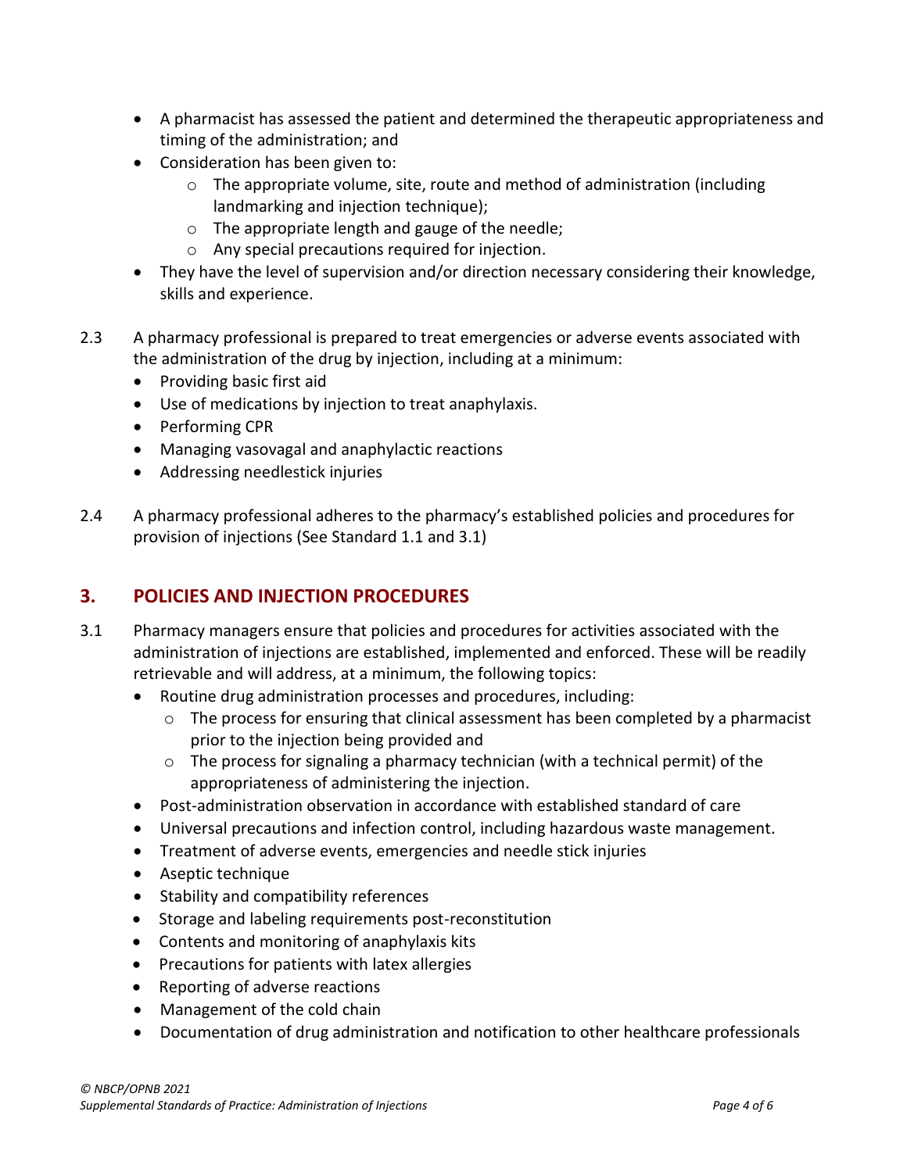- A pharmacist has assessed the patient and determined the therapeutic appropriateness and timing of the administration; and
- Consideration has been given to:
	- $\circ$  The appropriate volume, site, route and method of administration (including landmarking and injection technique);
	- o The appropriate length and gauge of the needle;
	- o Any special precautions required for injection.
- They have the level of supervision and/or direction necessary considering their knowledge, skills and experience.
- 2.3 A pharmacy professional is prepared to treat emergencies or adverse events associated with the administration of the drug by injection, including at a minimum:
	- Providing basic first aid
	- Use of medications by injection to treat anaphylaxis.
	- Performing CPR
	- Managing vasovagal and anaphylactic reactions
	- Addressing needlestick injuries
- 2.4 A pharmacy professional adheres to the pharmacy's established policies and procedures for provision of injections (See Standard 1.1 and 3.1)

#### <span id="page-3-0"></span>**3. POLICIES AND INJECTION PROCEDURES**

- 3.1 Pharmacy managers ensure that policies and procedures for activities associated with the administration of injections are established, implemented and enforced. These will be readily retrievable and will address, at a minimum, the following topics:
	- Routine drug administration processes and procedures, including:
		- $\circ$  The process for ensuring that clinical assessment has been completed by a pharmacist prior to the injection being provided and
		- $\circ$  The process for signaling a pharmacy technician (with a technical permit) of the appropriateness of administering the injection.
	- Post-administration observation in accordance with established standard of care
	- Universal precautions and infection control, including hazardous waste management.
	- Treatment of adverse events, emergencies and needle stick injuries
	- Aseptic technique
	- Stability and compatibility references
	- Storage and labeling requirements post-reconstitution
	- Contents and monitoring of anaphylaxis kits
	- Precautions for patients with latex allergies
	- Reporting of adverse reactions
	- Management of the cold chain
	- Documentation of drug administration and notification to other healthcare professionals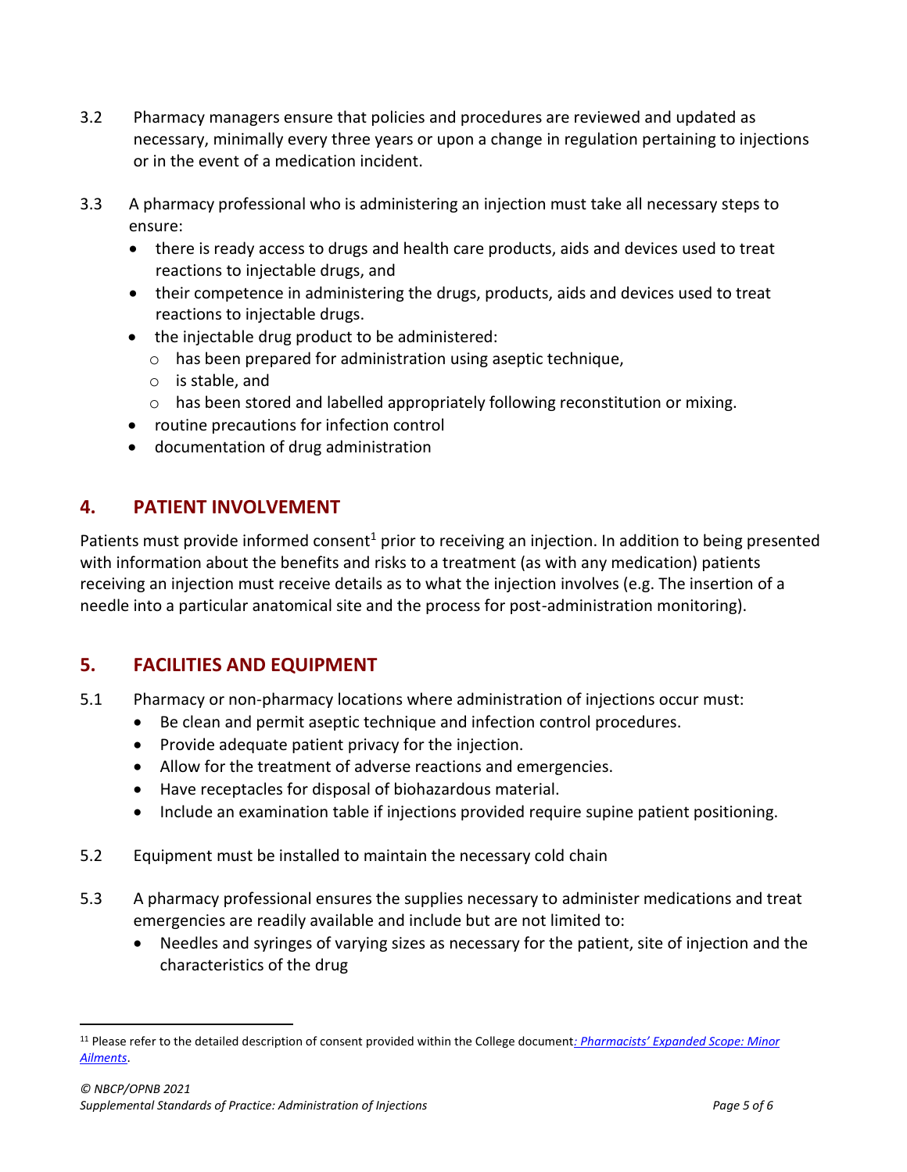- 3.2 Pharmacy managers ensure that policies and procedures are reviewed and updated as necessary, minimally every three years or upon a change in regulation pertaining to injections or in the event of a medication incident.
- 3.3 A pharmacy professional who is administering an injection must take all necessary steps to ensure:
	- there is ready access to drugs and health care products, aids and devices used to treat reactions to injectable drugs, and
	- their competence in administering the drugs, products, aids and devices used to treat reactions to injectable drugs.
	- the injectable drug product to be administered:
		- o has been prepared for administration using aseptic technique,
		- o is stable, and
		- $\circ$  has been stored and labelled appropriately following reconstitution or mixing.
	- routine precautions for infection control
	- documentation of drug administration

#### <span id="page-4-0"></span>**4. PATIENT INVOLVEMENT**

Patients must provide informed consent<sup>1</sup> prior to receiving an injection. In addition to being presented with information about the benefits and risks to a treatment (as with any medication) patients receiving an injection must receive details as to what the injection involves (e.g. The insertion of a needle into a particular anatomical site and the process for post-administration monitoring).

# <span id="page-4-1"></span>**5. FACILITIES AND EQUIPMENT**

- 5.1 Pharmacy or non-pharmacy locations where administration of injections occur must:
	- Be clean and permit aseptic technique and infection control procedures.
	- Provide adequate patient privacy for the injection.
	- Allow for the treatment of adverse reactions and emergencies.
	- Have receptacles for disposal of biohazardous material.
	- Include an examination table if injections provided require supine patient positioning.
- 5.2 Equipment must be installed to maintain the necessary cold chain
- 5.3 A pharmacy professional ensures the supplies necessary to administer medications and treat emergencies are readily available and include but are not limited to:
	- Needles and syringes of varying sizes as necessary for the patient, site of injection and the characteristics of the drug

<sup>11</sup> Please refer to the detailed description of consent provided within the College document*[: Pharmacists' Expan](https://nbcp.in1touch.org/document/1698/Pharmacists%20Expanded%20Scope_Minor%20Ailments%20document%20update%20May2015%20EN.pdf)ded Scope: Minor [Ailments](https://nbcp.in1touch.org/document/1698/Pharmacists%20Expanded%20Scope_Minor%20Ailments%20document%20update%20May2015%20EN.pdf)*.